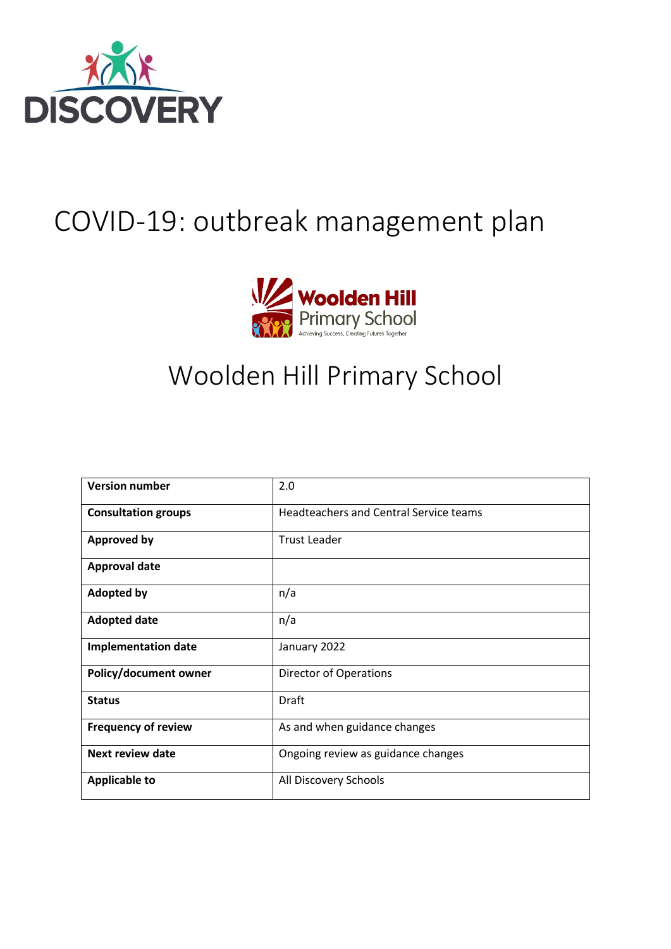

# COVID-19: outbreak management plan



# Woolden Hill Primary School

| <b>Version number</b>      | 2.0                                           |
|----------------------------|-----------------------------------------------|
| <b>Consultation groups</b> | <b>Headteachers and Central Service teams</b> |
| <b>Approved by</b>         | <b>Trust Leader</b>                           |
| <b>Approval date</b>       |                                               |
| <b>Adopted by</b>          | n/a                                           |
| <b>Adopted date</b>        | n/a                                           |
| <b>Implementation date</b> | January 2022                                  |
| Policy/document owner      | Director of Operations                        |
| <b>Status</b>              | Draft                                         |
| <b>Frequency of review</b> | As and when guidance changes                  |
| <b>Next review date</b>    | Ongoing review as guidance changes            |
| <b>Applicable to</b>       | All Discovery Schools                         |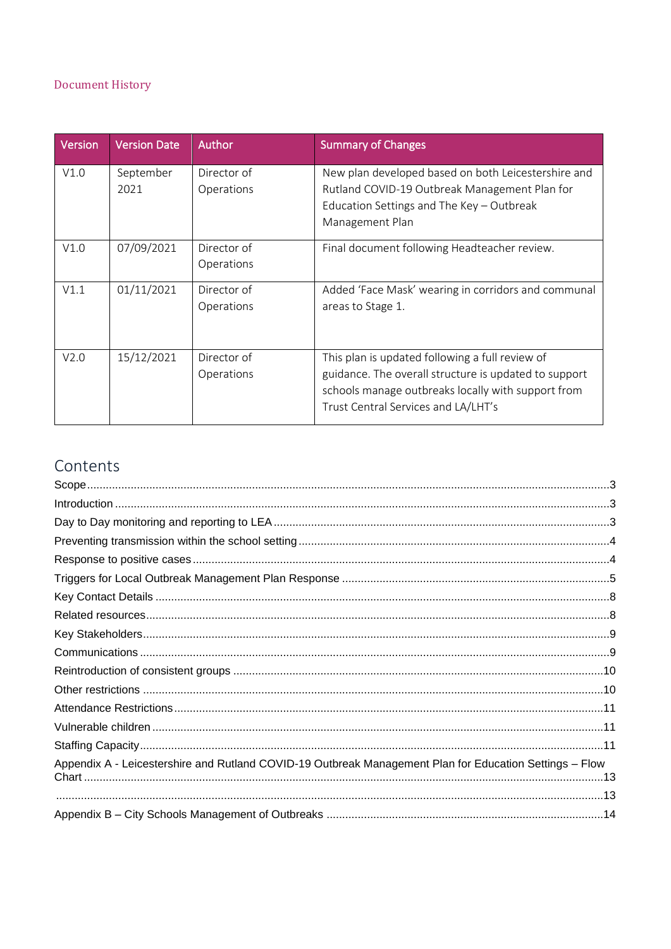#### Document History

| <b>Version</b>   | <b>Version Date</b> | Author                    | <b>Summary of Changes</b>                                                                                                                          |
|------------------|---------------------|---------------------------|----------------------------------------------------------------------------------------------------------------------------------------------------|
| V1.0             | September<br>2021   | Director of<br>Operations | New plan developed based on both Leicestershire and<br>Rutland COVID-19 Outbreak Management Plan for                                               |
|                  |                     |                           | Education Settings and The Key - Outbreak                                                                                                          |
|                  |                     |                           | Management Plan                                                                                                                                    |
| V1.0             | 07/09/2021          | Director of               | Final document following Headteacher review.                                                                                                       |
|                  |                     | Operations                |                                                                                                                                                    |
| V1.1             | 01/11/2021          | Director of               | Added 'Face Mask' wearing in corridors and communal                                                                                                |
|                  |                     | Operations                | areas to Stage 1.                                                                                                                                  |
|                  |                     |                           |                                                                                                                                                    |
| V <sub>2.0</sub> | 15/12/2021          | Director of               | This plan is updated following a full review of                                                                                                    |
|                  |                     | Operations                | guidance. The overall structure is updated to support<br>schools manage outbreaks locally with support from<br>Trust Central Services and LA/LHT's |

# Contents

| Appendix A - Leicestershire and Rutland COVID-19 Outbreak Management Plan for Education Settings - Flow             |  |
|---------------------------------------------------------------------------------------------------------------------|--|
| 13. مستقدم المستقدم المستقدم المستقدم المستقدم المستقدم المستقدم المستقدم المستقدم المستقدم المستقدم المستقدم المنا |  |
|                                                                                                                     |  |
|                                                                                                                     |  |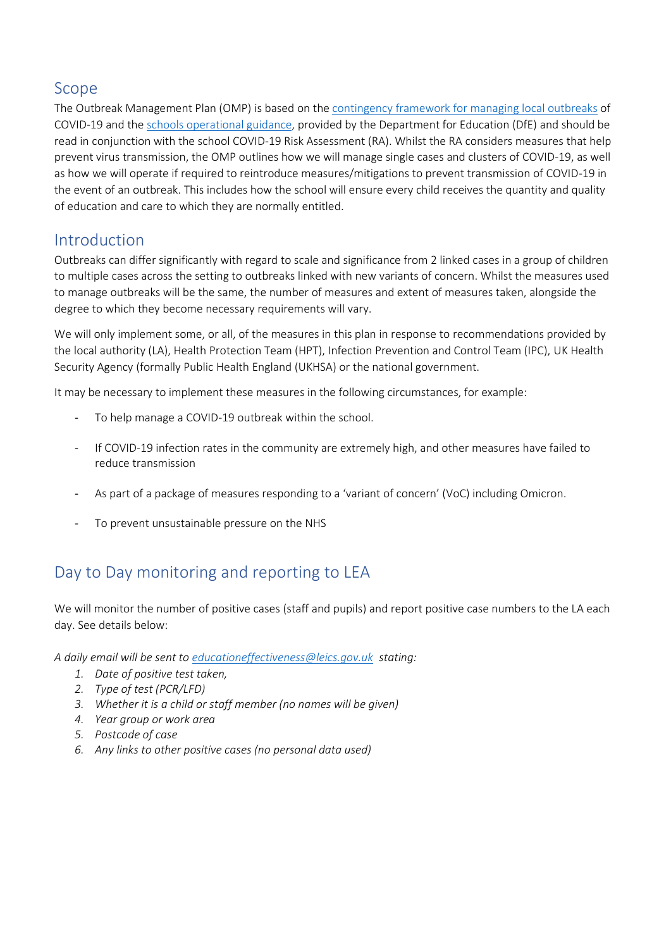#### <span id="page-2-0"></span>Scope

The Outbreak Management Plan (OMP) is based on th[e contingency framework for managing local outbreaks](https://www.gov.uk/government/publications/coronavirus-covid-19-local-restrictions-in-education-and-childcare-settings) of COVID-19 and the [schools operational guidance,](https://www.gov.uk/government/publications/actions-for-schools-during-the-coronavirus-outbreak) provided by the Department for Education (DfE) and should be read in conjunction with the school COVID-19 Risk Assessment (RA). Whilst the RA considers measures that help prevent virus transmission, the OMP outlines how we will manage single cases and clusters of COVID-19, as well as how we will operate if required to reintroduce measures/mitigations to prevent transmission of COVID-19 in the event of an outbreak. This includes how the school will ensure every child receives the quantity and quality of education and care to which they are normally entitled.

#### <span id="page-2-1"></span>Introduction

Outbreaks can differ significantly with regard to scale and significance from 2 linked cases in a group of children to multiple cases across the setting to outbreaks linked with new variants of concern. Whilst the measures used to manage outbreaks will be the same, the number of measures and extent of measures taken, alongside the degree to which they become necessary requirements will vary.

We will only implement some, or all, of the measures in this plan in response to recommendations provided by the local authority (LA), Health Protection Team (HPT), Infection Prevention and Control Team (IPC), UK Health Security Agency (formally Public Health England (UKHSA) or the national government.

It may be necessary to implement these measures in the following circumstances, for example:

- To help manage a COVID-19 outbreak within the school.
- If COVID-19 infection rates in the community are extremely high, and other measures have failed to reduce transmission
- As part of a package of measures responding to a 'variant of concern' (VoC) including Omicron.
- To prevent unsustainable pressure on the NHS

## <span id="page-2-2"></span>Day to Day monitoring and reporting to LEA

We will monitor the number of positive cases (staff and pupils) and report positive case numbers to the LA each day. See details below:

*A daily email will be sent to [educationeffectiveness@leics.gov.uk](mailto:educationeffectiveness@leics.gov.uk) stating:*

- *1. Date of positive test taken,*
- *2. Type of test (PCR/LFD)*
- *3. Whether it is a child or staff member (no names will be given)*
- *4. Year group or work area*
- *5. Postcode of case*
- *6. Any links to other positive cases (no personal data used)*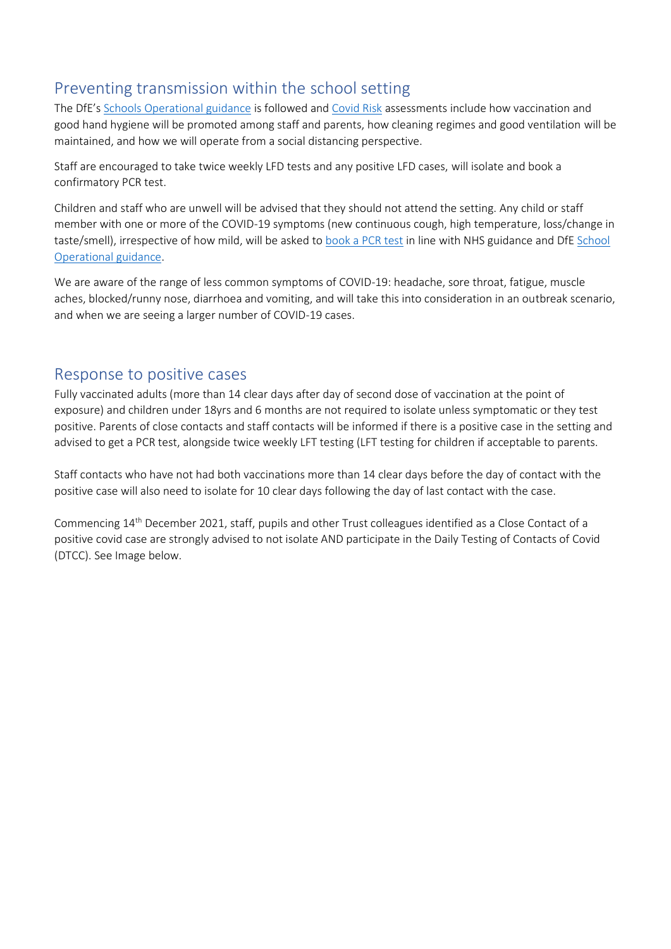## <span id="page-3-0"></span>Preventing transmission within the school setting

The DfE's [Schools Operational guidance](https://assets.publishing.service.gov.uk/government/uploads/system/uploads/attachment_data/file/1040827/Schools_COVID-19_operational_guidance.pdf) is followed an[d Covid Risk](https://discoveryschoolstrust-my.sharepoint.com/:w:/g/personal/cnorman_dsatwooldenhill_org/EfGiUg0LrZxPiUXfkKHSROYBeZQ5f5qHCI0QpVWz54V6TA) assessments include how vaccination and good hand hygiene will be promoted among staff and parents, how cleaning regimes and good ventilation will be maintained, and how we will operate from a social distancing perspective.

Staff are encouraged to take twice weekly LFD tests and any positive LFD cases, will isolate and book a confirmatory PCR test.

Children and staff who are unwell will be advised that they should not attend the setting. Any child or staff member with one or more of the COVID-19 symptoms (new continuous cough, high temperature, loss/change in taste/smell), irrespective of how mild, will be asked to [book a PCR test](https://www.nhs.uk/conditions/coronavirus-covid-19/testing/get-tested-for-coronavirus/) in line with NHS guidance and DfE [School](https://assets.publishing.service.gov.uk/government/uploads/system/uploads/attachment_data/file/1040827/Schools_COVID-19_operational_guidance.pdf)  [Operational guidance.](https://assets.publishing.service.gov.uk/government/uploads/system/uploads/attachment_data/file/1040827/Schools_COVID-19_operational_guidance.pdf)

We are aware of the range of less common symptoms of COVID-19: headache, sore throat, fatigue, muscle aches, blocked/runny nose, diarrhoea and vomiting, and will take this into consideration in an outbreak scenario, and when we are seeing a larger number of COVID-19 cases.

#### <span id="page-3-1"></span>Response to positive cases

Fully vaccinated adults (more than 14 clear days after day of second dose of vaccination at the point of exposure) and children under 18yrs and 6 months are not required to isolate unless symptomatic or they test positive. Parents of close contacts and staff contacts will be informed if there is a positive case in the setting and advised to get a PCR test, alongside twice weekly LFT testing (LFT testing for children if acceptable to parents.

Staff contacts who have not had both vaccinations more than 14 clear days before the day of contact with the positive case will also need to isolate for 10 clear days following the day of last contact with the case.

Commencing 14th December 2021, staff, pupils and other Trust colleagues identified as a Close Contact of a positive covid case are strongly advised to not isolate AND participate in the Daily Testing of Contacts of Covid (DTCC). See Image below.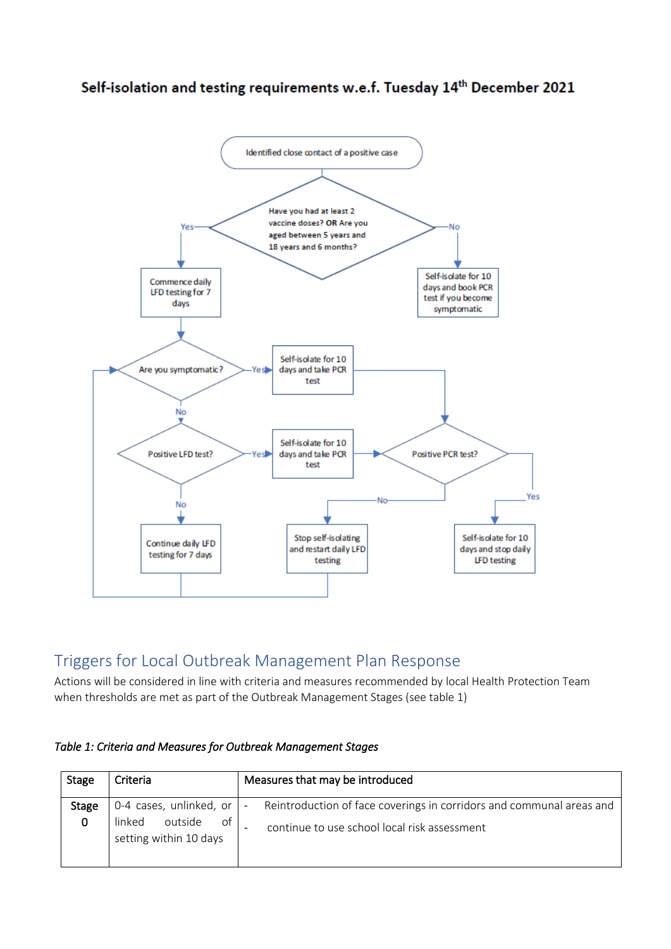Self-isolation and testing requirements w.e.f. Tuesday 14<sup>th</sup> December 2021



## <span id="page-4-0"></span>Triggers for Local Outbreak Management Plan Response

Actions will be considered in line with criteria and measures recommended by local Health Protection Team when thresholds are met as part of the Outbreak Management Stages (see table 1)

| <b>Stage</b> | Criteria                                                                               | Measures that may be introduced                                                                                      |
|--------------|----------------------------------------------------------------------------------------|----------------------------------------------------------------------------------------------------------------------|
| Stage<br>0   | 0-4 cases, unlinked, or $\vert$ -<br>of<br>linked<br>outside<br>setting within 10 days | Reintroduction of face coverings in corridors and communal areas and<br>continue to use school local risk assessment |

*Table 1: Criteria and Measures for Outbreak Management Stages*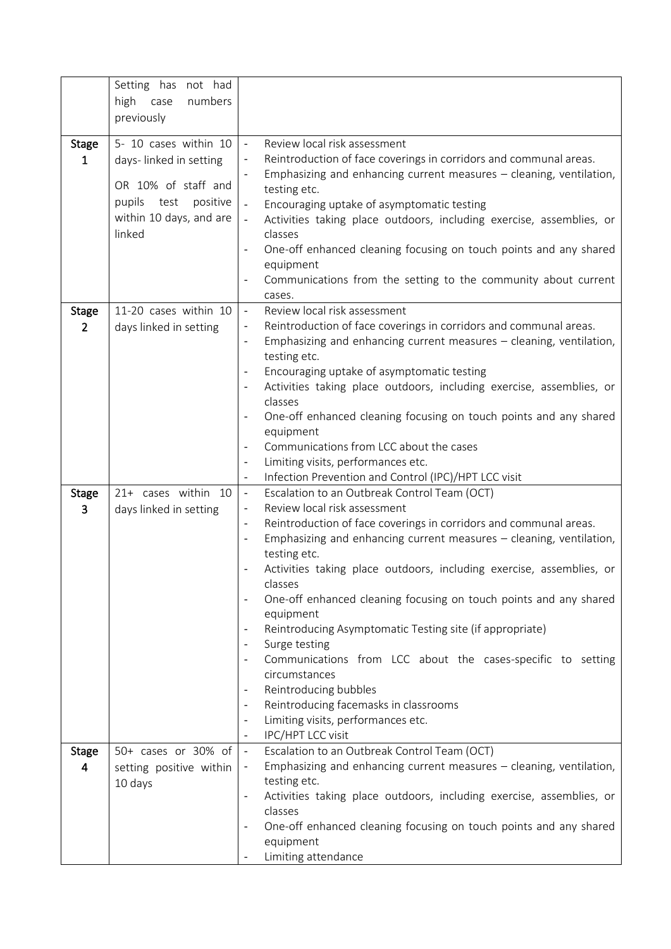| 5- 10 cases within 10<br>Review local risk assessment<br><b>Stage</b><br>$\overline{\phantom{a}}$<br>Reintroduction of face coverings in corridors and communal areas.<br>days-linked in setting<br>$\mathbf{1}$<br>Emphasizing and enhancing current measures - cleaning, ventilation,<br>OR 10% of staff and<br>testing etc.<br>pupils<br>test<br>positive<br>Encouraging uptake of asymptomatic testing<br>within 10 days, and are<br>Activities taking place outdoors, including exercise, assemblies, or<br>linked<br>classes<br>One-off enhanced cleaning focusing on touch points and any shared<br>equipment<br>Communications from the setting to the community about current<br>cases.<br>Review local risk assessment<br>11-20 cases within 10<br><b>Stage</b><br>$\overline{\phantom{a}}$<br>Reintroduction of face coverings in corridors and communal areas.<br>$\overline{2}$<br>days linked in setting<br>Emphasizing and enhancing current measures $-$ cleaning, ventilation,<br>$\overline{\phantom{a}}$<br>testing etc.<br>Encouraging uptake of asymptomatic testing<br>Activities taking place outdoors, including exercise, assemblies, or<br>classes<br>One-off enhanced cleaning focusing on touch points and any shared<br>equipment<br>Communications from LCC about the cases<br>Limiting visits, performances etc.<br>Infection Prevention and Control (IPC)/HPT LCC visit<br>$\blacksquare$<br>Escalation to an Outbreak Control Team (OCT)<br>21+ cases within 10<br><b>Stage</b><br>$\blacksquare$<br>Review local risk assessment<br>3<br>days linked in setting<br>Reintroduction of face coverings in corridors and communal areas.<br>$\overline{\phantom{a}}$<br>Emphasizing and enhancing current measures $-$ cleaning, ventilation,<br>testing etc.<br>Activities taking place outdoors, including exercise, assemblies, or<br>classes<br>One-off enhanced cleaning focusing on touch points and any shared<br>$\overline{\phantom{a}}$<br>equipment<br>Reintroducing Asymptomatic Testing site (if appropriate)<br>Surge testing<br>Communications from LCC about the cases-specific to setting<br>circumstances<br>Reintroducing bubbles<br>Reintroducing facemasks in classrooms<br>$\overline{\phantom{a}}$<br>Limiting visits, performances etc.<br>IPC/HPT LCC visit<br>$\overline{\phantom{a}}$<br>50+ cases or 30% of<br>Escalation to an Outbreak Control Team (OCT)<br><b>Stage</b><br>$\overline{\phantom{a}}$<br>Emphasizing and enhancing current measures - cleaning, ventilation,<br>4<br>setting positive within<br>testing etc.<br>10 days<br>Activities taking place outdoors, including exercise, assemblies, or | Setting has not had<br>high case<br>numbers<br>previously |  |
|-----------------------------------------------------------------------------------------------------------------------------------------------------------------------------------------------------------------------------------------------------------------------------------------------------------------------------------------------------------------------------------------------------------------------------------------------------------------------------------------------------------------------------------------------------------------------------------------------------------------------------------------------------------------------------------------------------------------------------------------------------------------------------------------------------------------------------------------------------------------------------------------------------------------------------------------------------------------------------------------------------------------------------------------------------------------------------------------------------------------------------------------------------------------------------------------------------------------------------------------------------------------------------------------------------------------------------------------------------------------------------------------------------------------------------------------------------------------------------------------------------------------------------------------------------------------------------------------------------------------------------------------------------------------------------------------------------------------------------------------------------------------------------------------------------------------------------------------------------------------------------------------------------------------------------------------------------------------------------------------------------------------------------------------------------------------------------------------------------------------------------------------------------------------------------------------------------------------------------------------------------------------------------------------------------------------------------------------------------------------------------------------------------------------------------------------------------------------------------------------------------------------------------------------------------------------------------------------------------------------------------------------------------------------------------|-----------------------------------------------------------|--|
|                                                                                                                                                                                                                                                                                                                                                                                                                                                                                                                                                                                                                                                                                                                                                                                                                                                                                                                                                                                                                                                                                                                                                                                                                                                                                                                                                                                                                                                                                                                                                                                                                                                                                                                                                                                                                                                                                                                                                                                                                                                                                                                                                                                                                                                                                                                                                                                                                                                                                                                                                                                                                                                                             |                                                           |  |
|                                                                                                                                                                                                                                                                                                                                                                                                                                                                                                                                                                                                                                                                                                                                                                                                                                                                                                                                                                                                                                                                                                                                                                                                                                                                                                                                                                                                                                                                                                                                                                                                                                                                                                                                                                                                                                                                                                                                                                                                                                                                                                                                                                                                                                                                                                                                                                                                                                                                                                                                                                                                                                                                             |                                                           |  |
|                                                                                                                                                                                                                                                                                                                                                                                                                                                                                                                                                                                                                                                                                                                                                                                                                                                                                                                                                                                                                                                                                                                                                                                                                                                                                                                                                                                                                                                                                                                                                                                                                                                                                                                                                                                                                                                                                                                                                                                                                                                                                                                                                                                                                                                                                                                                                                                                                                                                                                                                                                                                                                                                             |                                                           |  |
|                                                                                                                                                                                                                                                                                                                                                                                                                                                                                                                                                                                                                                                                                                                                                                                                                                                                                                                                                                                                                                                                                                                                                                                                                                                                                                                                                                                                                                                                                                                                                                                                                                                                                                                                                                                                                                                                                                                                                                                                                                                                                                                                                                                                                                                                                                                                                                                                                                                                                                                                                                                                                                                                             |                                                           |  |
|                                                                                                                                                                                                                                                                                                                                                                                                                                                                                                                                                                                                                                                                                                                                                                                                                                                                                                                                                                                                                                                                                                                                                                                                                                                                                                                                                                                                                                                                                                                                                                                                                                                                                                                                                                                                                                                                                                                                                                                                                                                                                                                                                                                                                                                                                                                                                                                                                                                                                                                                                                                                                                                                             |                                                           |  |
|                                                                                                                                                                                                                                                                                                                                                                                                                                                                                                                                                                                                                                                                                                                                                                                                                                                                                                                                                                                                                                                                                                                                                                                                                                                                                                                                                                                                                                                                                                                                                                                                                                                                                                                                                                                                                                                                                                                                                                                                                                                                                                                                                                                                                                                                                                                                                                                                                                                                                                                                                                                                                                                                             |                                                           |  |
|                                                                                                                                                                                                                                                                                                                                                                                                                                                                                                                                                                                                                                                                                                                                                                                                                                                                                                                                                                                                                                                                                                                                                                                                                                                                                                                                                                                                                                                                                                                                                                                                                                                                                                                                                                                                                                                                                                                                                                                                                                                                                                                                                                                                                                                                                                                                                                                                                                                                                                                                                                                                                                                                             |                                                           |  |
|                                                                                                                                                                                                                                                                                                                                                                                                                                                                                                                                                                                                                                                                                                                                                                                                                                                                                                                                                                                                                                                                                                                                                                                                                                                                                                                                                                                                                                                                                                                                                                                                                                                                                                                                                                                                                                                                                                                                                                                                                                                                                                                                                                                                                                                                                                                                                                                                                                                                                                                                                                                                                                                                             |                                                           |  |
|                                                                                                                                                                                                                                                                                                                                                                                                                                                                                                                                                                                                                                                                                                                                                                                                                                                                                                                                                                                                                                                                                                                                                                                                                                                                                                                                                                                                                                                                                                                                                                                                                                                                                                                                                                                                                                                                                                                                                                                                                                                                                                                                                                                                                                                                                                                                                                                                                                                                                                                                                                                                                                                                             |                                                           |  |
|                                                                                                                                                                                                                                                                                                                                                                                                                                                                                                                                                                                                                                                                                                                                                                                                                                                                                                                                                                                                                                                                                                                                                                                                                                                                                                                                                                                                                                                                                                                                                                                                                                                                                                                                                                                                                                                                                                                                                                                                                                                                                                                                                                                                                                                                                                                                                                                                                                                                                                                                                                                                                                                                             |                                                           |  |
|                                                                                                                                                                                                                                                                                                                                                                                                                                                                                                                                                                                                                                                                                                                                                                                                                                                                                                                                                                                                                                                                                                                                                                                                                                                                                                                                                                                                                                                                                                                                                                                                                                                                                                                                                                                                                                                                                                                                                                                                                                                                                                                                                                                                                                                                                                                                                                                                                                                                                                                                                                                                                                                                             |                                                           |  |
|                                                                                                                                                                                                                                                                                                                                                                                                                                                                                                                                                                                                                                                                                                                                                                                                                                                                                                                                                                                                                                                                                                                                                                                                                                                                                                                                                                                                                                                                                                                                                                                                                                                                                                                                                                                                                                                                                                                                                                                                                                                                                                                                                                                                                                                                                                                                                                                                                                                                                                                                                                                                                                                                             |                                                           |  |
|                                                                                                                                                                                                                                                                                                                                                                                                                                                                                                                                                                                                                                                                                                                                                                                                                                                                                                                                                                                                                                                                                                                                                                                                                                                                                                                                                                                                                                                                                                                                                                                                                                                                                                                                                                                                                                                                                                                                                                                                                                                                                                                                                                                                                                                                                                                                                                                                                                                                                                                                                                                                                                                                             |                                                           |  |
|                                                                                                                                                                                                                                                                                                                                                                                                                                                                                                                                                                                                                                                                                                                                                                                                                                                                                                                                                                                                                                                                                                                                                                                                                                                                                                                                                                                                                                                                                                                                                                                                                                                                                                                                                                                                                                                                                                                                                                                                                                                                                                                                                                                                                                                                                                                                                                                                                                                                                                                                                                                                                                                                             |                                                           |  |
|                                                                                                                                                                                                                                                                                                                                                                                                                                                                                                                                                                                                                                                                                                                                                                                                                                                                                                                                                                                                                                                                                                                                                                                                                                                                                                                                                                                                                                                                                                                                                                                                                                                                                                                                                                                                                                                                                                                                                                                                                                                                                                                                                                                                                                                                                                                                                                                                                                                                                                                                                                                                                                                                             |                                                           |  |
|                                                                                                                                                                                                                                                                                                                                                                                                                                                                                                                                                                                                                                                                                                                                                                                                                                                                                                                                                                                                                                                                                                                                                                                                                                                                                                                                                                                                                                                                                                                                                                                                                                                                                                                                                                                                                                                                                                                                                                                                                                                                                                                                                                                                                                                                                                                                                                                                                                                                                                                                                                                                                                                                             |                                                           |  |
|                                                                                                                                                                                                                                                                                                                                                                                                                                                                                                                                                                                                                                                                                                                                                                                                                                                                                                                                                                                                                                                                                                                                                                                                                                                                                                                                                                                                                                                                                                                                                                                                                                                                                                                                                                                                                                                                                                                                                                                                                                                                                                                                                                                                                                                                                                                                                                                                                                                                                                                                                                                                                                                                             |                                                           |  |
|                                                                                                                                                                                                                                                                                                                                                                                                                                                                                                                                                                                                                                                                                                                                                                                                                                                                                                                                                                                                                                                                                                                                                                                                                                                                                                                                                                                                                                                                                                                                                                                                                                                                                                                                                                                                                                                                                                                                                                                                                                                                                                                                                                                                                                                                                                                                                                                                                                                                                                                                                                                                                                                                             |                                                           |  |
|                                                                                                                                                                                                                                                                                                                                                                                                                                                                                                                                                                                                                                                                                                                                                                                                                                                                                                                                                                                                                                                                                                                                                                                                                                                                                                                                                                                                                                                                                                                                                                                                                                                                                                                                                                                                                                                                                                                                                                                                                                                                                                                                                                                                                                                                                                                                                                                                                                                                                                                                                                                                                                                                             |                                                           |  |
|                                                                                                                                                                                                                                                                                                                                                                                                                                                                                                                                                                                                                                                                                                                                                                                                                                                                                                                                                                                                                                                                                                                                                                                                                                                                                                                                                                                                                                                                                                                                                                                                                                                                                                                                                                                                                                                                                                                                                                                                                                                                                                                                                                                                                                                                                                                                                                                                                                                                                                                                                                                                                                                                             |                                                           |  |
|                                                                                                                                                                                                                                                                                                                                                                                                                                                                                                                                                                                                                                                                                                                                                                                                                                                                                                                                                                                                                                                                                                                                                                                                                                                                                                                                                                                                                                                                                                                                                                                                                                                                                                                                                                                                                                                                                                                                                                                                                                                                                                                                                                                                                                                                                                                                                                                                                                                                                                                                                                                                                                                                             |                                                           |  |
|                                                                                                                                                                                                                                                                                                                                                                                                                                                                                                                                                                                                                                                                                                                                                                                                                                                                                                                                                                                                                                                                                                                                                                                                                                                                                                                                                                                                                                                                                                                                                                                                                                                                                                                                                                                                                                                                                                                                                                                                                                                                                                                                                                                                                                                                                                                                                                                                                                                                                                                                                                                                                                                                             |                                                           |  |
|                                                                                                                                                                                                                                                                                                                                                                                                                                                                                                                                                                                                                                                                                                                                                                                                                                                                                                                                                                                                                                                                                                                                                                                                                                                                                                                                                                                                                                                                                                                                                                                                                                                                                                                                                                                                                                                                                                                                                                                                                                                                                                                                                                                                                                                                                                                                                                                                                                                                                                                                                                                                                                                                             |                                                           |  |
|                                                                                                                                                                                                                                                                                                                                                                                                                                                                                                                                                                                                                                                                                                                                                                                                                                                                                                                                                                                                                                                                                                                                                                                                                                                                                                                                                                                                                                                                                                                                                                                                                                                                                                                                                                                                                                                                                                                                                                                                                                                                                                                                                                                                                                                                                                                                                                                                                                                                                                                                                                                                                                                                             |                                                           |  |
|                                                                                                                                                                                                                                                                                                                                                                                                                                                                                                                                                                                                                                                                                                                                                                                                                                                                                                                                                                                                                                                                                                                                                                                                                                                                                                                                                                                                                                                                                                                                                                                                                                                                                                                                                                                                                                                                                                                                                                                                                                                                                                                                                                                                                                                                                                                                                                                                                                                                                                                                                                                                                                                                             |                                                           |  |
| classes                                                                                                                                                                                                                                                                                                                                                                                                                                                                                                                                                                                                                                                                                                                                                                                                                                                                                                                                                                                                                                                                                                                                                                                                                                                                                                                                                                                                                                                                                                                                                                                                                                                                                                                                                                                                                                                                                                                                                                                                                                                                                                                                                                                                                                                                                                                                                                                                                                                                                                                                                                                                                                                                     |                                                           |  |
| One-off enhanced cleaning focusing on touch points and any shared                                                                                                                                                                                                                                                                                                                                                                                                                                                                                                                                                                                                                                                                                                                                                                                                                                                                                                                                                                                                                                                                                                                                                                                                                                                                                                                                                                                                                                                                                                                                                                                                                                                                                                                                                                                                                                                                                                                                                                                                                                                                                                                                                                                                                                                                                                                                                                                                                                                                                                                                                                                                           |                                                           |  |
| equipment<br>Limiting attendance                                                                                                                                                                                                                                                                                                                                                                                                                                                                                                                                                                                                                                                                                                                                                                                                                                                                                                                                                                                                                                                                                                                                                                                                                                                                                                                                                                                                                                                                                                                                                                                                                                                                                                                                                                                                                                                                                                                                                                                                                                                                                                                                                                                                                                                                                                                                                                                                                                                                                                                                                                                                                                            |                                                           |  |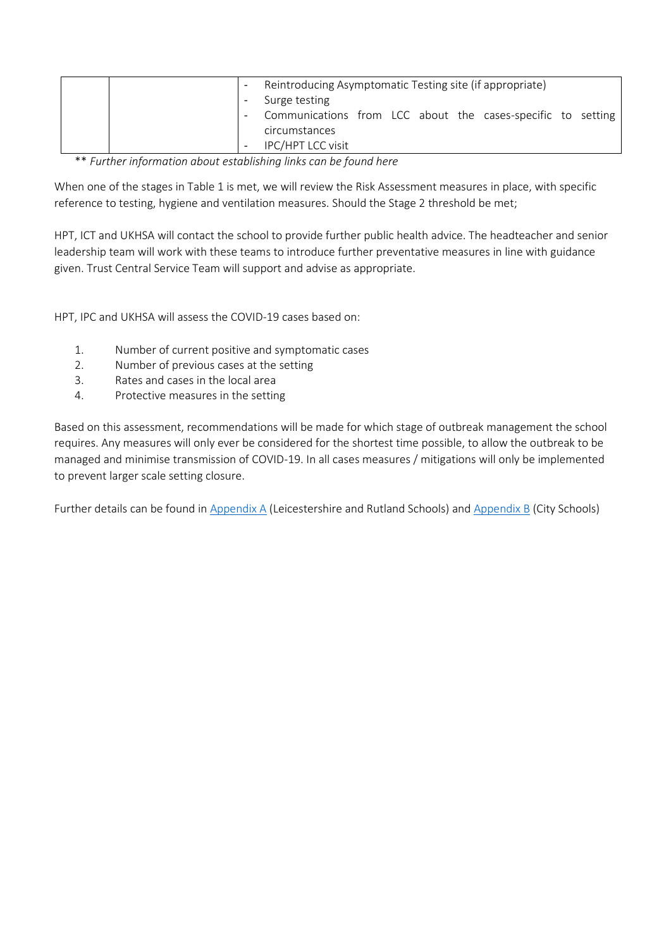|  | Reintroducing Asymptomatic Testing site (if appropriate)    |  |  |  |  |
|--|-------------------------------------------------------------|--|--|--|--|
|  | Surge testing                                               |  |  |  |  |
|  | Communications from LCC about the cases-specific to setting |  |  |  |  |
|  | circumstances                                               |  |  |  |  |
|  | IPC/HPT LCC visit                                           |  |  |  |  |

\*\* *Further information about establishing links can be found here*

When one of the stages in Table 1 is met, we will review the Risk Assessment measures in place, with specific reference to testing, hygiene and ventilation measures. Should the Stage 2 threshold be met;

HPT, ICT and UKHSA will contact the school to provide further public health advice. The headteacher and senior leadership team will work with these teams to introduce further preventative measures in line with guidance given. Trust Central Service Team will support and advise as appropriate.

HPT, IPC and UKHSA will assess the COVID-19 cases based on:

- 1. Number of current positive and symptomatic cases
- 2. Number of previous cases at the setting
- 3. Rates and cases in the local area
- 4. Protective measures in the setting

Based on this assessment, recommendations will be made for which stage of outbreak management the school requires. Any measures will only ever be considered for the shortest time possible, to allow the outbreak to be managed and minimise transmission of COVID-19. In all cases measures / mitigations will only be implemented to prevent larger scale setting closure.

Further details can be found in [Appendix A](#page-12-0) (Leicestershire and Rutland Schools) and [Appendix B](#page-13-0) (City Schools)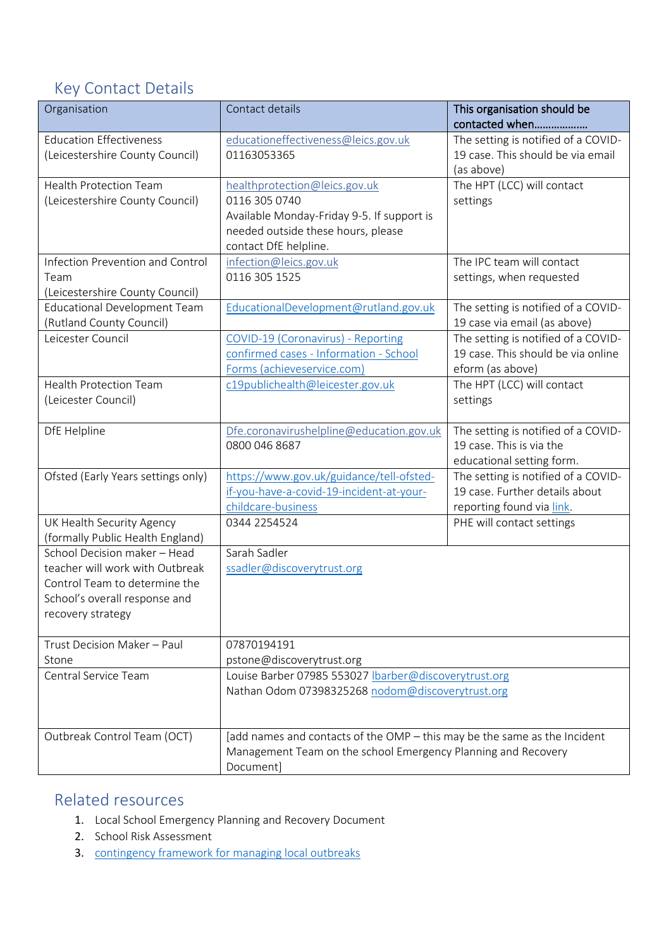# <span id="page-7-0"></span>Key Contact Details

| Organisation                        | Contact details                                                           | This organisation should be<br>contacted when |  |  |
|-------------------------------------|---------------------------------------------------------------------------|-----------------------------------------------|--|--|
| <b>Education Effectiveness</b>      | educationeffectiveness@leics.gov.uk                                       | The setting is notified of a COVID-           |  |  |
| (Leicestershire County Council)     | 01163053365                                                               | 19 case. This should be via email             |  |  |
|                                     |                                                                           | (as above)                                    |  |  |
| <b>Health Protection Team</b>       | healthprotection@leics.gov.uk                                             | The HPT (LCC) will contact                    |  |  |
| (Leicestershire County Council)     | 0116 305 0740                                                             | settings                                      |  |  |
|                                     | Available Monday-Friday 9-5. If support is                                |                                               |  |  |
|                                     | needed outside these hours, please                                        |                                               |  |  |
|                                     | contact DfE helpline.                                                     |                                               |  |  |
| Infection Prevention and Control    | infection@leics.gov.uk                                                    | The IPC team will contact                     |  |  |
| Team                                | 0116 305 1525                                                             | settings, when requested                      |  |  |
| (Leicestershire County Council)     |                                                                           |                                               |  |  |
| <b>Educational Development Team</b> | EducationalDevelopment@rutland.gov.uk                                     | The setting is notified of a COVID-           |  |  |
| (Rutland County Council)            |                                                                           | 19 case via email (as above)                  |  |  |
| Leicester Council                   | COVID-19 (Coronavirus) - Reporting                                        | The setting is notified of a COVID-           |  |  |
|                                     | confirmed cases - Information - School                                    | 19 case. This should be via online            |  |  |
|                                     | Forms (achieveservice.com)                                                | eform (as above)                              |  |  |
| <b>Health Protection Team</b>       | c19publichealth@leicester.gov.uk                                          | The HPT (LCC) will contact                    |  |  |
| (Leicester Council)                 |                                                                           | settings                                      |  |  |
|                                     |                                                                           |                                               |  |  |
| DfE Helpline                        | Dfe.coronavirushelpline@education.gov.uk                                  | The setting is notified of a COVID-           |  |  |
|                                     | 0800 046 8687                                                             | 19 case. This is via the                      |  |  |
|                                     |                                                                           | educational setting form.                     |  |  |
| Ofsted (Early Years settings only)  | https://www.gov.uk/guidance/tell-ofsted-                                  | The setting is notified of a COVID-           |  |  |
|                                     | if-you-have-a-covid-19-incident-at-your-                                  | 19 case. Further details about                |  |  |
|                                     | childcare-business                                                        | reporting found via link.                     |  |  |
| UK Health Security Agency           | 0344 2254524                                                              | PHE will contact settings                     |  |  |
| (formally Public Health England)    |                                                                           |                                               |  |  |
| School Decision maker - Head        | Sarah Sadler                                                              |                                               |  |  |
| teacher will work with Outbreak     | ssadler@discoverytrust.org                                                |                                               |  |  |
| Control Team to determine the       |                                                                           |                                               |  |  |
| School's overall response and       |                                                                           |                                               |  |  |
| recovery strategy                   |                                                                           |                                               |  |  |
| Trust Decision Maker - Paul         | 07870194191                                                               |                                               |  |  |
| Stone                               | pstone@discoverytrust.org                                                 |                                               |  |  |
| Central Service Team                | Louise Barber 07985 553027  barber@discoverytrust.org                     |                                               |  |  |
|                                     | Nathan Odom 07398325268 nodom@discoverytrust.org                          |                                               |  |  |
|                                     |                                                                           |                                               |  |  |
|                                     |                                                                           |                                               |  |  |
| Outbreak Control Team (OCT)         | [add names and contacts of the OMP - this may be the same as the Incident |                                               |  |  |
|                                     | Management Team on the school Emergency Planning and Recovery             |                                               |  |  |
|                                     | Document]                                                                 |                                               |  |  |

## <span id="page-7-1"></span>Related resources

- 1. Local School Emergency Planning and Recovery Document
- 2. School Risk Assessment
- 3. [contingency framework for managing local outbreaks](https://www.gov.uk/government/publications/coronavirus-covid-19-local-restrictions-in-education-and-childcare-settings)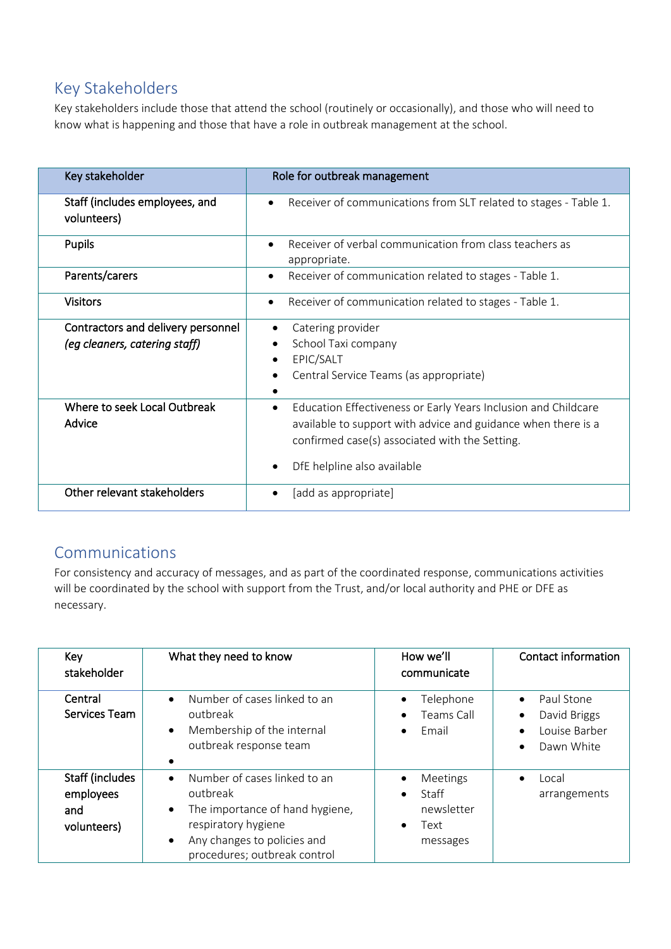## <span id="page-8-0"></span>Key Stakeholders

Key stakeholders include those that attend the school (routinely or occasionally), and those who will need to know what is happening and those that have a role in outbreak management at the school.

| Key stakeholder                                                     | Role for outbreak management                                                                                                                                                                                                  |
|---------------------------------------------------------------------|-------------------------------------------------------------------------------------------------------------------------------------------------------------------------------------------------------------------------------|
| Staff (includes employees, and<br>volunteers)                       | Receiver of communications from SLT related to stages - Table 1.<br>$\bullet$                                                                                                                                                 |
| <b>Pupils</b>                                                       | Receiver of verbal communication from class teachers as<br>$\bullet$<br>appropriate.                                                                                                                                          |
| Parents/carers                                                      | Receiver of communication related to stages - Table 1.<br>$\bullet$                                                                                                                                                           |
| <b>Visitors</b>                                                     | Receiver of communication related to stages - Table 1.<br>٠                                                                                                                                                                   |
| Contractors and delivery personnel<br>(eg cleaners, catering staff) | Catering provider<br>School Taxi company<br>EPIC/SALT<br>Central Service Teams (as appropriate)                                                                                                                               |
| Where to seek Local Outbreak<br>Advice                              | Education Effectiveness or Early Years Inclusion and Childcare<br>$\bullet$<br>available to support with advice and guidance when there is a<br>confirmed case(s) associated with the Setting.<br>DfE helpline also available |
| Other relevant stakeholders                                         | [add as appropriate]                                                                                                                                                                                                          |

### <span id="page-8-1"></span>Communications

For consistency and accuracy of messages, and as part of the coordinated response, communications activities will be coordinated by the school with support from the Trust, and/or local authority and PHE or DFE as necessary.

| Key<br>stakeholder                                 | What they need to know                                                                                                                                                                                   | How we'll<br>communicate                            | Contact information                                                                 |
|----------------------------------------------------|----------------------------------------------------------------------------------------------------------------------------------------------------------------------------------------------------------|-----------------------------------------------------|-------------------------------------------------------------------------------------|
| Central<br>Services Team                           | Number of cases linked to an<br>$\bullet$<br>outbreak<br>Membership of the internal<br>$\bullet$<br>outbreak response team<br>$\bullet$                                                                  | Telephone<br>Teams Call<br>Fmail                    | Paul Stone<br>$\bullet$<br>David Briggs<br>Louise Barber<br>Dawn White<br>$\bullet$ |
| Staff (includes<br>employees<br>and<br>volunteers) | Number of cases linked to an<br>$\bullet$<br>outbreak<br>The importance of hand hygiene,<br>$\bullet$<br>respiratory hygiene<br>Any changes to policies and<br>$\bullet$<br>procedures; outbreak control | Meetings<br>Staff<br>newsletter<br>Text<br>messages | Local<br>arrangements                                                               |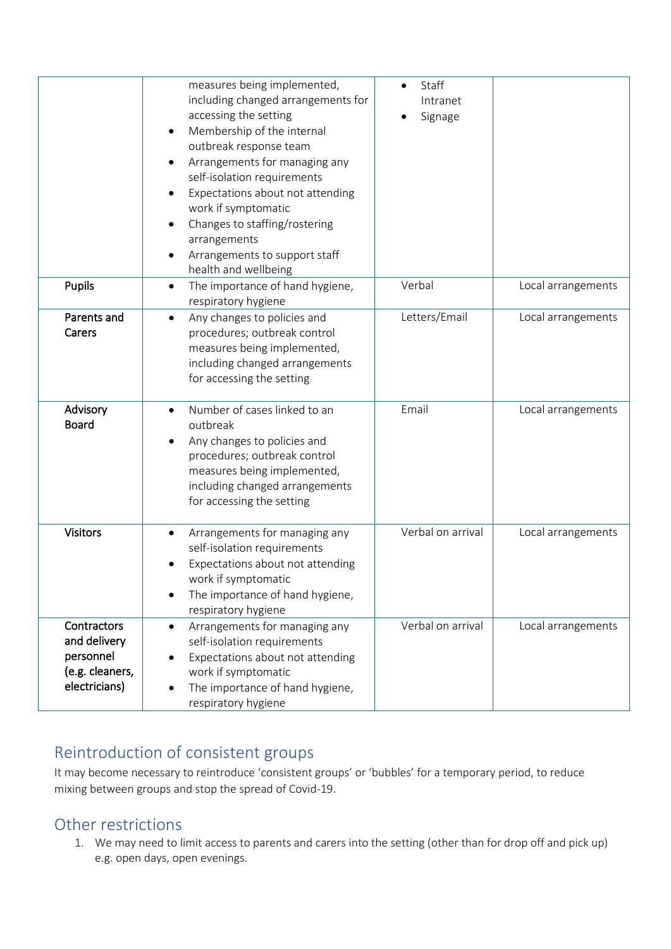|                                                                              | measures being implemented,<br>including changed arrangements for<br>accessing the setting<br>Membership of the internal<br>$\bullet$<br>outbreak response team<br>Arrangements for managing any<br>self-isolation requirements<br>Expectations about not attending<br>work if symptomatic<br>Changes to staffing/rostering<br>arrangements<br>Arrangements to support staff<br>health and wellbeing | Staff<br>Intranet<br>Signage |                    |
|------------------------------------------------------------------------------|------------------------------------------------------------------------------------------------------------------------------------------------------------------------------------------------------------------------------------------------------------------------------------------------------------------------------------------------------------------------------------------------------|------------------------------|--------------------|
| <b>Pupils</b>                                                                | The importance of hand hygiene,<br>$\bullet$<br>respiratory hygiene                                                                                                                                                                                                                                                                                                                                  | Verbal                       | Local arrangements |
| Parents and<br>Carers                                                        | Any changes to policies and<br>$\bullet$<br>procedures; outbreak control<br>measures being implemented,<br>including changed arrangements<br>for accessing the setting                                                                                                                                                                                                                               | Letters/Email                | Local arrangements |
| Advisory<br><b>Board</b>                                                     | Number of cases linked to an<br>$\bullet$<br>outbreak<br>Any changes to policies and<br>procedures; outbreak control<br>measures being implemented,<br>including changed arrangements<br>for accessing the setting                                                                                                                                                                                   | Email                        | Local arrangements |
| <b>Visitors</b>                                                              | Arrangements for managing any<br>$\bullet$<br>self-isolation requirements<br>Expectations about not attending<br>work if symptomatic<br>The importance of hand hygiene,<br>respiratory hygiene                                                                                                                                                                                                       | Verbal on arrival            | Local arrangements |
| Contractors<br>and delivery<br>personnel<br>(e.g. cleaners,<br>electricians) | Arrangements for managing any<br>$\bullet$<br>self-isolation requirements<br>Expectations about not attending<br>work if symptomatic<br>The importance of hand hygiene,<br>respiratory hygiene                                                                                                                                                                                                       | Verbal on arrival            | Local arrangements |

# <span id="page-9-0"></span>Reintroduction of consistent groups

It may become necessary to reintroduce 'consistent groups' or 'bubbles' for a temporary period, to reduce mixing between groups and stop the spread of Covid-19.

## <span id="page-9-1"></span>Other restrictions

1. We may need to limit access to parents and carers into the setting (other than for drop off and pick up) e.g. open days, open evenings.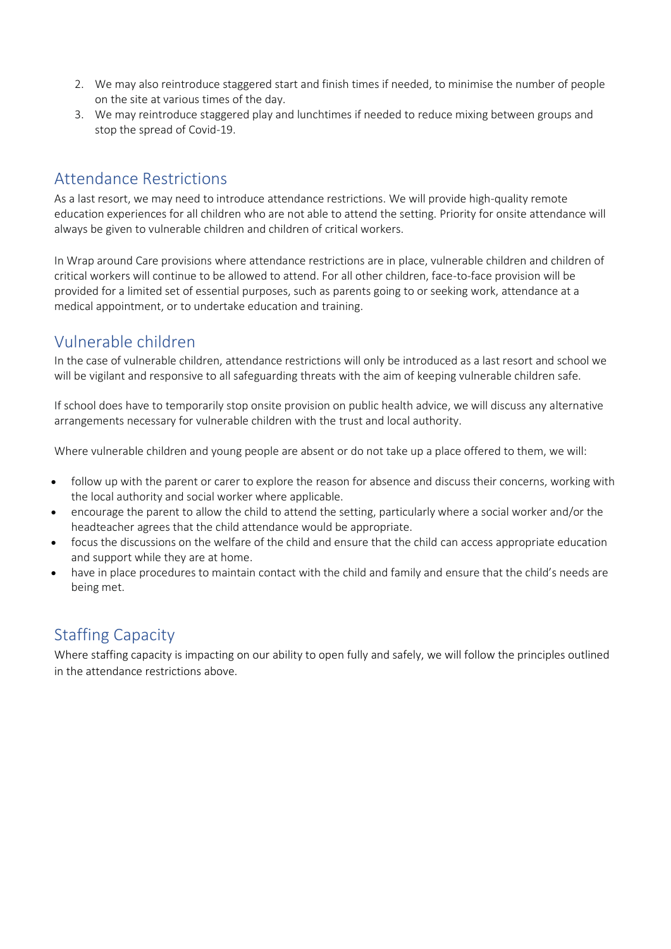- 2. We may also reintroduce staggered start and finish times if needed, to minimise the number of people on the site at various times of the day.
- 3. We may reintroduce staggered play and lunchtimes if needed to reduce mixing between groups and stop the spread of Covid-19.

### <span id="page-10-0"></span>Attendance Restrictions

As a last resort, we may need to introduce attendance restrictions. We will provide high-quality remote education experiences for all children who are not able to attend the setting. Priority for onsite attendance will always be given to vulnerable children and children of critical workers.

In Wrap around Care provisions where attendance restrictions are in place, vulnerable children and children of critical workers will continue to be allowed to attend. For all other children, face-to-face provision will be provided for a limited set of essential purposes, such as parents going to or seeking work, attendance at a medical appointment, or to undertake education and training.

## <span id="page-10-1"></span>Vulnerable children

In the case of vulnerable children, attendance restrictions will only be introduced as a last resort and school we will be vigilant and responsive to all safeguarding threats with the aim of keeping vulnerable children safe.

If school does have to temporarily stop onsite provision on public health advice, we will discuss any alternative arrangements necessary for vulnerable children with the trust and local authority.

Where vulnerable children and young people are absent or do not take up a place offered to them, we will:

- follow up with the parent or carer to explore the reason for absence and discuss their concerns, working with the local authority and social worker where applicable.
- encourage the parent to allow the child to attend the setting, particularly where a social worker and/or the headteacher agrees that the child attendance would be appropriate.
- focus the discussions on the welfare of the child and ensure that the child can access appropriate education and support while they are at home.
- have in place procedures to maintain contact with the child and family and ensure that the child's needs are being met.

## <span id="page-10-2"></span>Staffing Capacity

Where staffing capacity is impacting on our ability to open fully and safely, we will follow the principles outlined in the attendance restrictions above.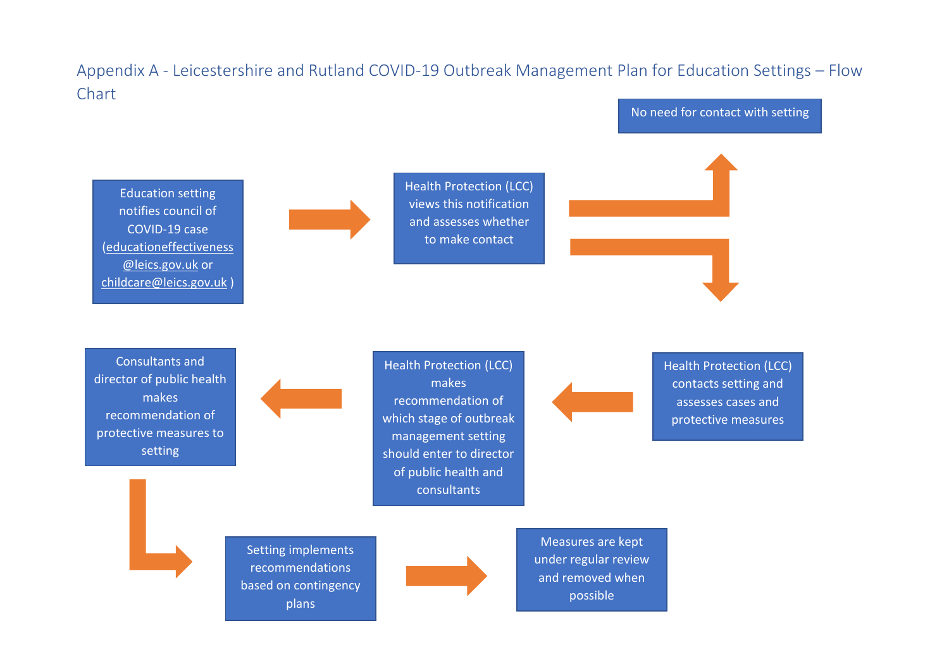## Appendix A - Leicestershire and Rutland COVID-19 Outbreak Management Plan for Education Settings – Flow Chart

<span id="page-12-1"></span><span id="page-12-0"></span>